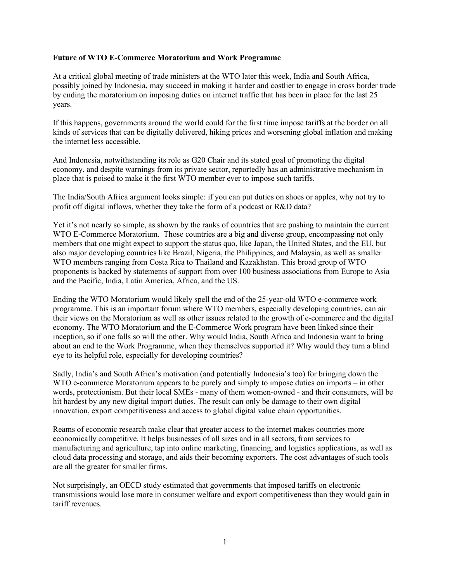## **Future of WTO E-Commerce Moratorium and Work Programme**

At a critical global meeting of trade ministers at the WTO later this week, India and South Africa, possibly joined by Indonesia, may succeed in making it harder and costlier to engage in cross border trade by ending the moratorium on imposing duties on internet traffic that has been in place for the last 25 years.

If this happens, governments around the world could for the first time impose tariffs at the border on all kinds of services that can be digitally delivered, hiking prices and worsening global inflation and making the internet less accessible.

And Indonesia, notwithstanding its role as G20 Chair and its stated goal of promoting the digital economy, and despite warnings from its private sector, reportedly has an administrative mechanism in place that is poised to make it the first WTO member ever to impose such tariffs.

The India/South Africa argument looks simple: if you can put duties on shoes or apples, why not try to profit off digital inflows, whether they take the form of a podcast or R&D data?

Yet it's not nearly so simple, as shown by the ranks of countries that are pushing to maintain the current WTO E-Commerce Moratorium. Those countries are a big and diverse group, encompassing not only members that one might expect to support the status quo, like Japan, the United States, and the EU, but also major developing countries like Brazil, Nigeria, the Philippines, and Malaysia, as well as smaller WTO members ranging from Costa Rica to Thailand and Kazakhstan. This broad group of WTO proponents is backed by statements of support from over 100 business associations from Europe to Asia and the Pacific, India, Latin America, Africa, and the US.

Ending the WTO Moratorium would likely spell the end of the 25-year-old WTO e-commerce work programme. This is an important forum where WTO members, especially developing countries, can air their views on the Moratorium as well as other issues related to the growth of e-commerce and the digital economy. The WTO Moratorium and the E-Commerce Work program have been linked since their inception, so if one falls so will the other. Why would India, South Africa and Indonesia want to bring about an end to the Work Programme, when they themselves supported it? Why would they turn a blind eye to its helpful role, especially for developing countries?

Sadly, India's and South Africa's motivation (and potentially Indonesia's too) for bringing down the WTO e-commerce Moratorium appears to be purely and simply to impose duties on imports – in other words, protectionism. But their local SMEs - many of them women-owned - and their consumers, will be hit hardest by any new digital import duties. The result can only be damage to their own digital innovation, export competitiveness and access to global digital value chain opportunities.

Reams of economic research make clear that greater access to the internet makes countries more economically competitive. It helps businesses of all sizes and in all sectors, from services to manufacturing and agriculture, tap into online marketing, financing, and logistics applications, as well as cloud data processing and storage, and aids their becoming exporters. The cost advantages of such tools are all the greater for smaller firms.

Not surprisingly, an OECD study estimated that governments that imposed tariffs on electronic transmissions would lose more in consumer welfare and export competitiveness than they would gain in tariff revenues.